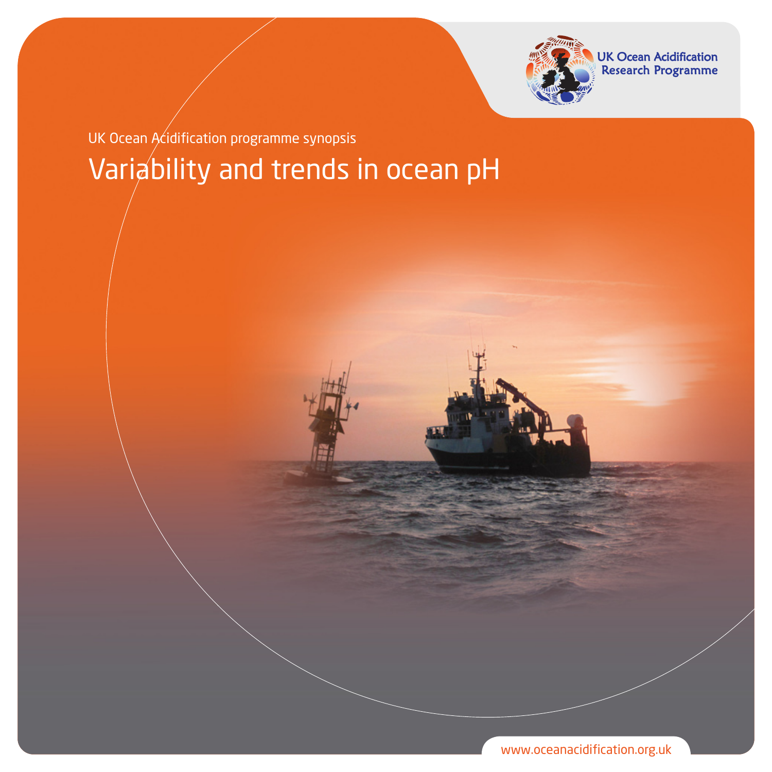

UK Ocean Acidification<br>Research Programme

Variability and trends in ocean pH UK Ocean Acidification programme synopsis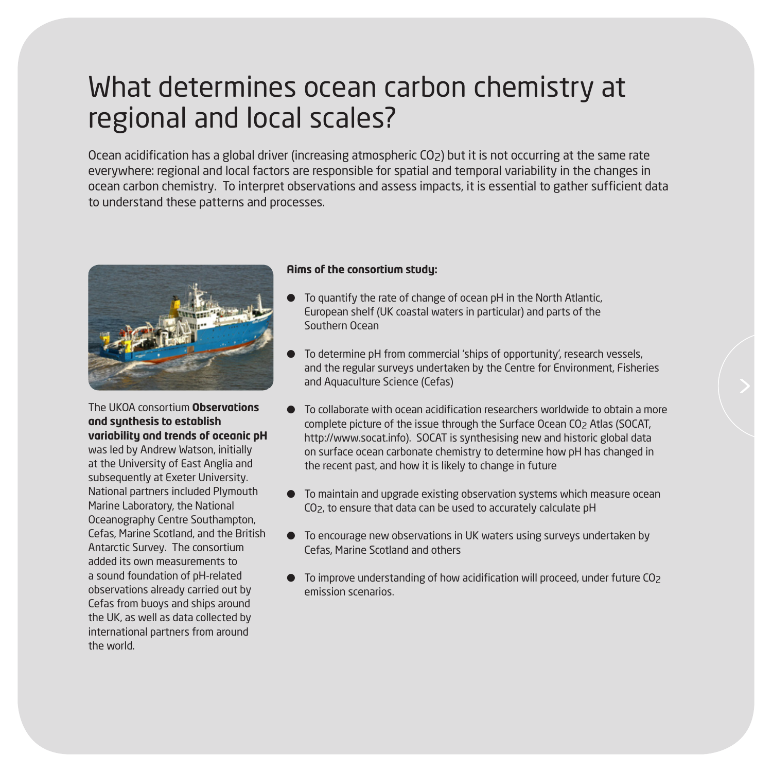## What determines ocean carbon chemistry at regional and local scales?

Ocean acidification has a global driver (increasing atmospheric CO2) but it is not occurring at the same rate everywhere: regional and local factors are responsible for spatial and temporal variability in the changes in ocean carbon chemistry. To interpret observations and assess impacts, it is essential to gather sufficient data to understand these patterns and processes.



The UKOA consortium **Observations and synthesis to establish variability and trends of oceanic pH** was led by Andrew Watson, initially at the University of East Anglia and subsequently at Exeter University. National partners included Plymouth Marine Laboratory, the National Oceanography Centre Southampton, Cefas, Marine Scotland, and the British Antarctic Survey. The consortium added its own measurements to a sound foundation of pH-related observations already carried out by Cefas from buoys and ships around the UK, as well as data collected by international partners from around the world.

#### **Aims of the consortium study:**

- To quantify the rate of change of ocean pH in the North Atlantic, European shelf (UK coastal waters in particular) and parts of the Southern Ocean
- To determine pH from commercial 'ships of opportunity', research vessels, and the regular surveys undertaken by the Centre for Environment, Fisheries and Aquaculture Science (Cefas)
- l To collaborate with ocean acidification researchers worldwide to obtain a more complete picture of the issue through the Surface Ocean CO<sub>2</sub> Atlas (SOCAT, http://www.socat.info). SOCAT is synthesising new and historic global data on surface ocean carbonate chemistry to determine how pH has changed in the recent past, and how it is likely to change in future
- To maintain and upgrade existing observation systems which measure ocean CO2, to ensure that data can be used to accurately calculate pH
- $\bullet$  To encourage new observations in UK waters using surveys undertaken by Cefas, Marine Scotland and others
- To improve understanding of how acidification will proceed, under future CO<sub>2</sub> emission scenarios.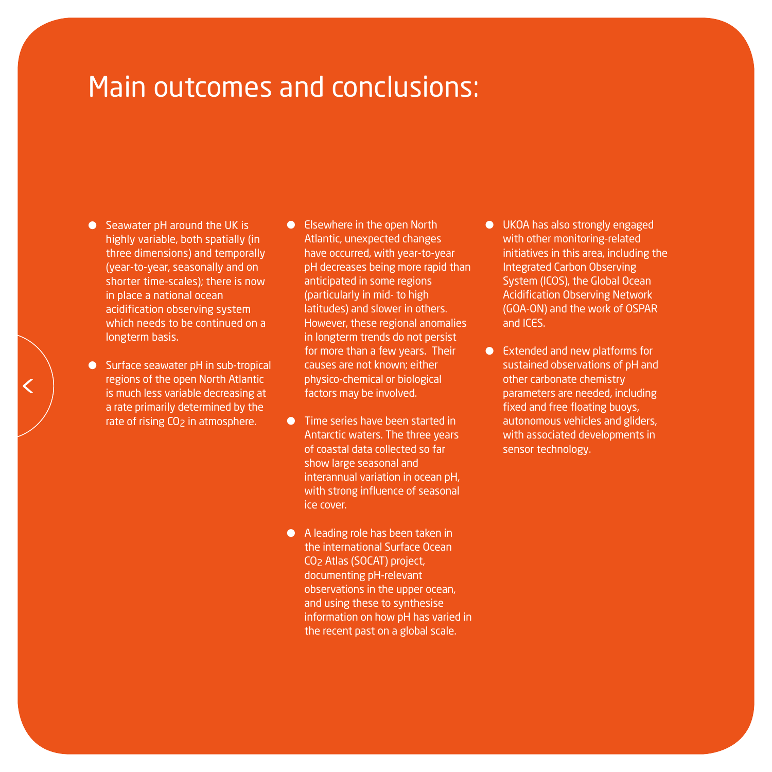## Main outcomes and conclusions:

- $\bullet$  Seawater pH around the UK is highly variable, both spatially (in three dimensions) and temporally (year-to-year, seasonally and on shorter time-scales); there is now in place a national ocean acidification observing system which needs to be continued on a longterm basis.
- Surface seawater pH in sub-tropical regions of the open North Atlantic is much less variable decreasing at a rate primarily determined by the rate of rising CO<sub>2</sub> in atmosphere.
- **•** Elsewhere in the open North Atlantic, unexpected changes have occurred, with year-to-year pH decreases being more rapid than anticipated in some regions (particularly in mid- to high latitudes) and slower in others. However, these regional anomalies in longterm trends do not persist for more than a few years. Their causes are not known; either physico-chemical or biological factors may be involved.
- **Time series have been started in** Antarctic waters. The three years of coastal data collected so far show large seasonal and interannual variation in ocean pH, with strong influence of seasonal ice cover.
- A leading role has been taken in the international Surface Ocean CO2 Atlas (SOCAT) project, documenting pH-relevant observations in the upper ocean, and using these to synthesise information on how pH has varied in the recent past on a global scale.
- **.** UKOA has also strongly engaged with other monitoring-related initiatives in this area, including the Integrated Carbon Observing System (ICOS), the Global Ocean Acidification Observing Network (GOA-ON) and the work of OSPAR and ICES.
- Extended and new platforms for sustained observations of pH and other carbonate chemistry parameters are needed, including fixed and free floating buoys, autonomous vehicles and gliders, with associated developments in sensor technology.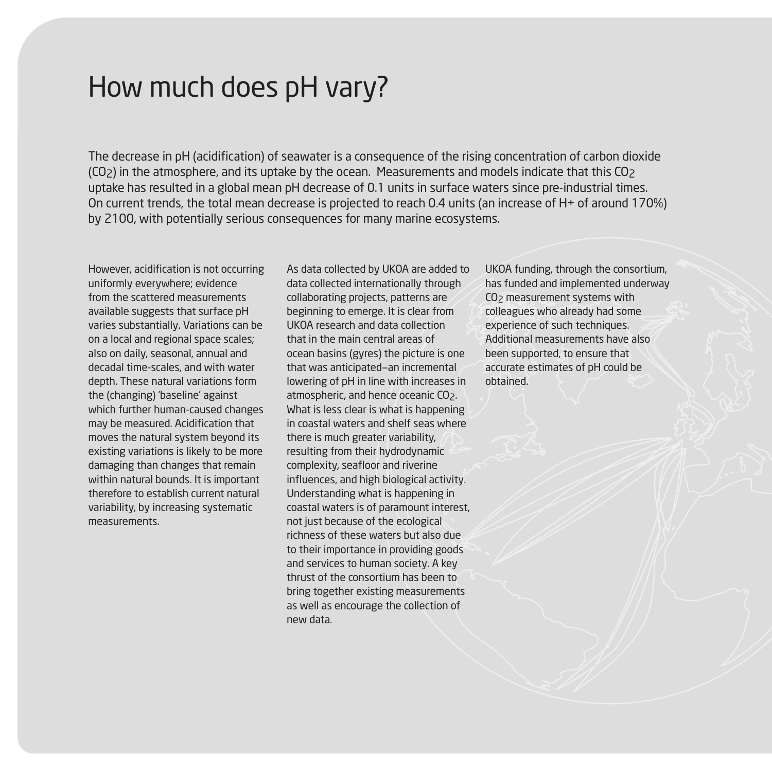### How much does pH vary?

The decrease in pH (acidification) of seawater is a consequence of the rising concentration of carbon dioxide  $(CO<sub>2</sub>)$  in the atmosphere, and its uptake by the ocean. Measurements and models indicate that this  $CO<sub>2</sub>$ uptake has resulted in a global mean pH decrease of 0.1 units in surface waters since pre-industrial times. On current trends, the total mean decrease is projected to reach 0.4 units (an increase of H+ of around 170%) by 2100, with potentially serious consequences for many marine ecosystems.

However, acidification is not occurring uniformly everywhere; evidence from the scattered measurements available suggests that surface pH varies substantially. Variations can be on a local and regional space scales; also on daily, seasonal, annual and decadal time-scales, and with water depth. These natural variations form the (changing) 'baseline' against which further human-caused changes may be measured. Acidification that moves the natural system beyond its existing variations is likely to be more damaging than changes that remain within natural bounds. It is important therefore to establish current natural variability, by increasing systematic measurements.

As data collected by UKOA are added to data collected internationally through collaborating projects, patterns are beginning to emerge. It is clear from UKOA research and data collection that in the main central areas of ocean basins (gyres) the picture is one that was anticipated—an incremental lowering of pH in line with increases in atmospheric, and hence oceanic CO<sub>2</sub>. What is less clear is what is happening in coastal waters and shelf seas where there is much greater variability, resulting from their hydrodynamic complexity, seafloor and riverine influences, and high biological activity. Understanding what is happening in coastal waters is of paramount interest, not just because of the ecological richness of these waters but also due to their importance in providing goods and services to human society. A key thrust of the consortium has been to bring together existing measurements as well as encourage the collection of new data.

UKOA funding, through the consortium, has funded and implemented underway CO<sub>2</sub> measurement systems with colleagues who already had some experience of such techniques. Additional measurements have also been supported, to ensure that accurate estimates of pH could be obtained.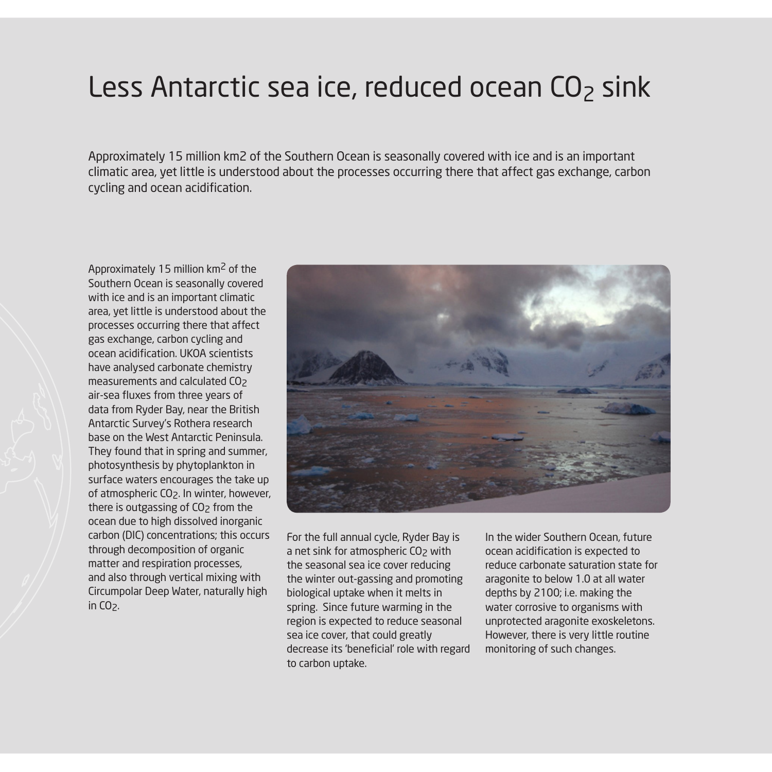### Less Antarctic sea ice, reduced ocean  $CO<sub>2</sub>$  sink

Approximately 15 million km2 of the Southern Ocean is seasonally covered with ice and is an important climatic area, yet little is understood about the processes occurring there that affect gas exchange, carbon cycling and ocean acidification.

Approximately 15 million km2 of the Southern Ocean is seasonally covered with ice and is an important climatic area, yet little is understood about the processes occurring there that affect gas exchange, carbon cycling and ocean acidification. UKOA scientists have analysed carbonate chemistry measurements and calculated CO<sub>2</sub> air-sea fluxes from three years of data from Ryder Bay, near the British Antarctic Survey's Rothera research base on the West Antarctic Peninsula. They found that in spring and summer, photosynthesis by phytoplankton in surface waters encourages the take up of atmospheric CO2. In winter, however, there is outgassing of  $CO<sub>2</sub>$  from the ocean due to high dissolved inorganic carbon (DIC) concentrations; this occurs through decomposition of organic matter and respiration processes, and also through vertical mixing with Circumpolar Deep Water, naturally high in  $CO<sub>2</sub>$ .



For the full annual cycle, Ryder Bay is a net sink for atmospheric CO<sub>2</sub> with the seasonal sea ice cover reducing the winter out-gassing and promoting biological uptake when it melts in spring. Since future warming in the region is expected to reduce seasonal sea ice cover, that could greatly decrease its 'beneficial' role with regard to carbon uptake.

In the wider Southern Ocean, future ocean acidification is expected to reduce carbonate saturation state for aragonite to below 1.0 at all water depths by 2100; i.e. making the water corrosive to organisms with unprotected aragonite exoskeletons. However, there is very little routine monitoring of such changes.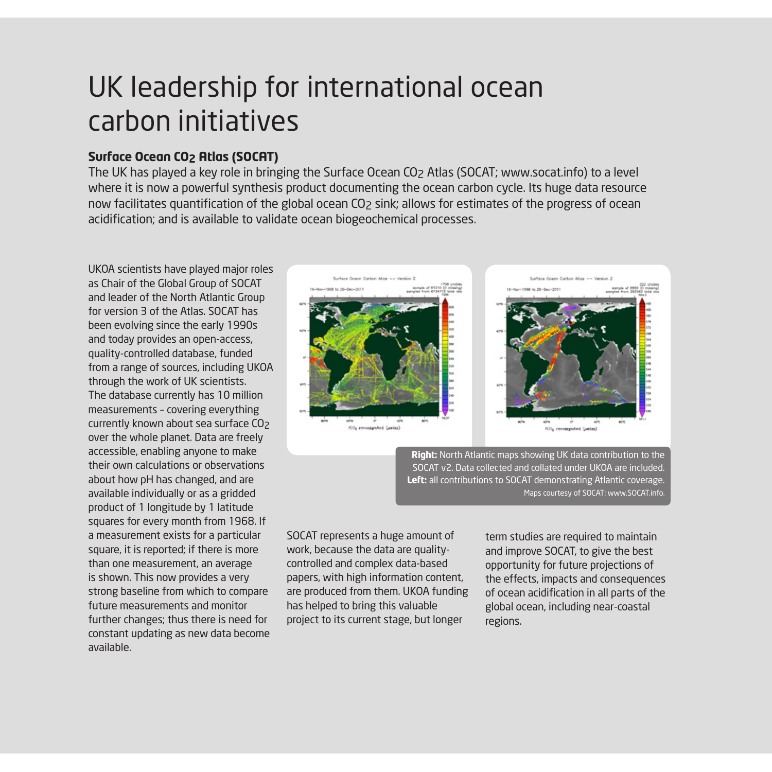# UK leadership for international ocean carbon initiatives

#### **Surface Ocean CO2 Atlas (SOCAT)**

The UK has played a key role in bringing the Surface Ocean CO2 Atlas (SOCAT; www.socat.info) to a level where it is now a powerful synthesis product documenting the ocean carbon cycle. Its huge data resource now facilitates quantification of the global ocean CO2 sink; allows for estimates of the progress of ocean acidification; and is available to validate ocean biogeochemical processes.

UKOA scientists have played major roles as Chair of the Global Group of SOCAT and leader of the North Atlantic Group for version 3 of the Atlas. SOCAT has been evolving since the early 1990s and today provides an open-access, quality-controlled database, funded from a range of sources, including UKOA through the work of UK scientists. The database currently has 10 million measurements – covering everything currently known about sea surface CO<sub>2</sub> over the whole planet. Data are freely accessible, enabling anyone to make their own calculations or observations about how pH has changed, and are available individually or as a gridded product of 1 longitude by 1 latitude squares for every month from 1968. If a measurement exists for a particular square, it is reported; if there is more than one measurement, an average is shown. This now provides a very strong baseline from which to compare future measurements and monitor further changes; thus there is need for constant updating as new data become available.



**Right:** North Atlantic maps showing UK data contribution to the SOCAT v2. Data collected and collated under UKOA are included. **Left:** all contributions to SOCAT demonstrating Atlantic coverage. Maps courtesy of SOCAT: www.SOCAT.info.

SOCAT represents a huge amount of work, because the data are qualitycontrolled and complex data-based papers, with high information content, are produced from them. UKOA funding has helped to bring this valuable project to its current stage, but longer

term studies are required to maintain and improve SOCAT, to give the best opportunity for future projections of the effects, impacts and consequences of ocean acidification in all parts of the global ocean, including near-coastal regions.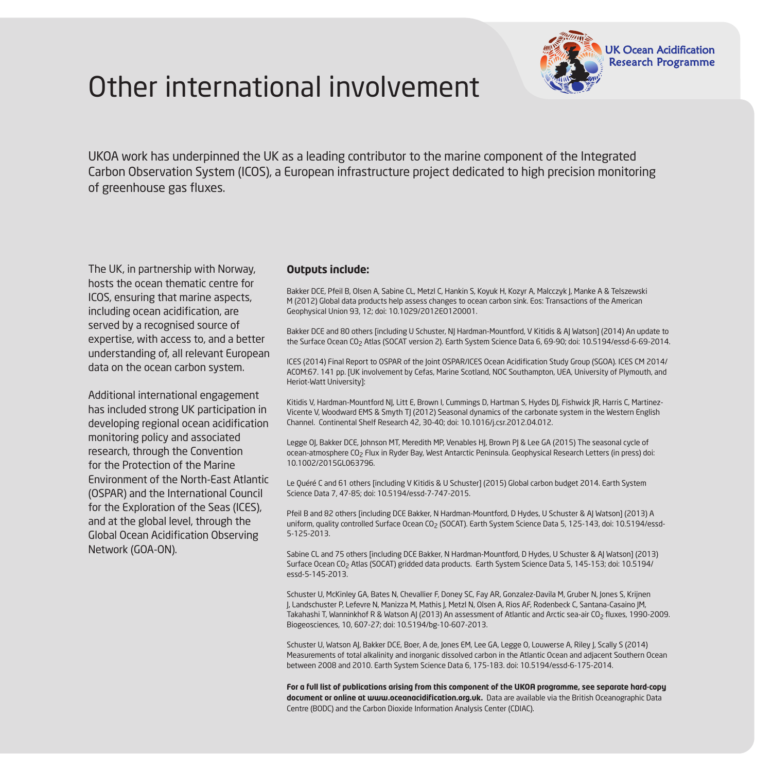



UKOA work has underpinned the UK as a leading contributor to the marine component of the Integrated Carbon Observation System (ICOS), a European infrastructure project dedicated to high precision monitoring of greenhouse gas fluxes.

The UK, in partnership with Norway, hosts the ocean thematic centre for ICOS, ensuring that marine aspects, including ocean acidification, are served by a recognised source of expertise, with access to, and a better understanding of, all relevant European data on the ocean carbon system.

Additional international engagement has included strong UK participation in developing regional ocean acidification monitoring policy and associated research, through the Convention for the Protection of the Marine Environment of the North-East Atlantic (OSPAR) and the International Council for the Exploration of the Seas (ICES), and at the global level, through the Global Ocean Acidification Observing Network (GOA-ON).

#### **Outputs include:**

Bakker DCE, Pfeil B, Olsen A, Sabine CL, Metzl C, Hankin S, Koyuk H, Kozyr A, Malcczyk J, Manke A & Telszewski M (2012) Global data products help assess changes to ocean carbon sink. Eos: Transactions of the American Geophysical Union 93, 12; doi: 10.1029/2012EO120001.

Bakker DCE and 80 others [including U Schuster, NJ Hardman-Mountford, V Kitidis & AJ Watson] (2014) An update to the Surface Ocean CO2 Atlas (SOCAT version 2). Earth System Science Data 6, 69-90; doi: 10.5194/essd-6-69-2014.

ICES (2014) Final Report to OSPAR of the Joint OSPAR/ICES Ocean Acidification Study Group (SGOA). ICES CM 2014/ ACOM:67. 141 pp. [UK involvement by Cefas, Marine Scotland, NOC Southampton, UEA, University of Plymouth, and Heriot-Watt University]:

Kitidis V, Hardman-Mountford NJ, Litt E, Brown I, Cummings D, Hartman S, Hydes DJ, Fishwick JR, Harris C, Martinez-Vicente V, Woodward EMS & Smyth TJ (2012) Seasonal dynamics of the carbonate system in the Western English Channel. Continental Shelf Research 42, 30-40; doi: 10.1016/j.csr.2012.04.012.

Legge OJ, Bakker DCE, Johnson MT, Meredith MP, Venables HJ, Brown PJ & Lee GA (2015) The seasonal cycle of ocean-atmosphere CO2 Flux in Ryder Bay, West Antarctic Peninsula. Geophysical Research Letters (in press) doi: 10.1002/2015GL063796.

Le Quéré C and 61 others [including V Kitidis & U Schuster] (2015) Global carbon budget 2014. Earth System Science Data 7, 47-85; doi: 10.5194/essd-7-747-2015.

Pfeil B and 82 others [including DCE Bakker, N Hardman-Mountford, D Hydes, U Schuster & AJ Watson] (2013) A uniform, quality controlled Surface Ocean CO<sub>2</sub> (SOCAT). Earth System Science Data 5, 125-143, doi: 10.5194/essd-5-125-2013.

Sabine CL and 75 others [including DCE Bakker, N Hardman-Mountford, D Hydes, U Schuster & AJ Watson] (2013) Surface Ocean CO<sub>2</sub> Atlas (SOCAT) gridded data products. Earth System Science Data 5, 145-153; doi: 10.5194/ essd-5-145-2013.

Schuster U, McKinley GA, Bates N, Chevallier F, Doney SC, Fay AR, Gonzalez-Davila M, Gruber N, Jones S, Krijnen J, Landschuster P, Lefevre N, Manizza M, Mathis J, Metzl N, Olsen A, Rios AF, Rodenbeck C, Santana-Casaino JM, Takahashi T, Wanninkhof R & Watson AJ (2013) An assessment of Atlantic and Arctic sea-air CO<sub>2</sub> fluxes, 1990-2009. Biogeosciences, 10, 607-27; doi: 10.5194/bg-10-607-2013.

Schuster U, Watson AJ, Bakker DCE, Boer, A de, Jones EM, Lee GA, Legge O, Louwerse A, Riley J, Scally S (2014) Measurements of total alkalinity and inorganic dissolved carbon in the Atlantic Ocean and adjacent Southern Ocean between 2008 and 2010. Earth System Science Data 6, 175-183. doi: 10.5194/essd-6-175-2014.

**For a full list of publications arising from this component of the UKOA programme, see separate hard-copy document or online at www.oceanacidification.org.uk.** Data are available via the British Oceanographic Data Centre (BODC) and the Carbon Dioxide Information Analysis Center (CDIAC).